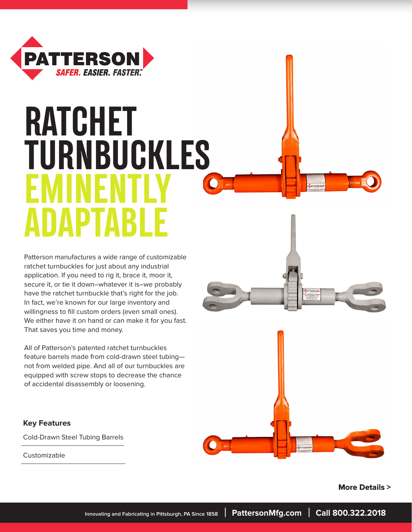

# **RATCHET TURNBUCKLES EMINENTLY ADAPTABLE**

Patterson manufactures a wide range of customizable ratchet turnbuckles for just about any industrial application. If you need to rig it, brace it, moor it, secure it, or tie it down–whatever it is–we probably have the ratchet turnbuckle that's right for the job. In fact, we're known for our large inventory and willingness to fill custom orders (even small ones). We either have it on hand or can make it for you fast. That saves you time and money.

All of Patterson's patented ratchet turnbuckles feature barrels made from cold-drawn steel tubing not from welded pipe. And all of our turnbuckles are equipped with screw stops to decrease the chance of accidental disassembly or loosening.

#### **Key Features**

Cold-Drawn Steel Tubing Barrels

Customizable



 **More Details >**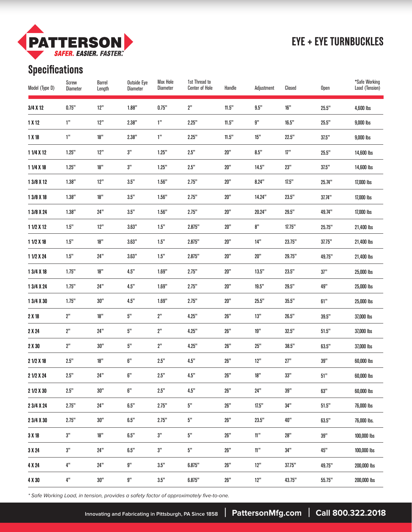

### **EYE + EYE TURNBUCKLES**

# **Specifications**

| Model (Type D) | Screw<br>Diameter | <b>Barrel</b><br>Length | <b>Outside Eye</b><br><b>Diameter</b> | <b>Max Hole</b><br><b>Diameter</b> | 1st Thread to<br><b>Center of Hole</b> | Handle | Adjustment      | Closed | Open   | *Safe Working<br>Load (Tension) |
|----------------|-------------------|-------------------------|---------------------------------------|------------------------------------|----------------------------------------|--------|-----------------|--------|--------|---------------------------------|
| 3/4 X 12       | 0.75"             | 12"                     | 1.88"                                 | 0.75"                              | 2"                                     | 11.5"  | 9.5"            | 16"    | 25.5"  | 4,600 lbs                       |
| 1 X 12         | 1"                | 12"                     | 2.38"                                 | 1"                                 | 2.25"                                  | 11.5"  | g"              | 16.5"  | 25.5"  | 9,000 lbs                       |
| 1X18           | 1"                | 18"                     | 2.38"                                 | 1"                                 | 2.25"                                  | 11.5"  | 15"             | 22.5"  | 37.5"  | 9,000 lbs                       |
| 1 1/4 X 12     | 1.25"             | 12"                     | $3\mathrm{''}$                        | 1.25"                              | 2.5"                                   | 20"    | 8.5"            | 17"    | 25.5"  | 14,600 lbs                      |
| 1 1/4 X 18     | 1.25"             | 18"                     | 3"                                    | 1.25"                              | 2.5"                                   | 20"    | 14.5"           | 23"    | 37.5"  | 14,600 lbs                      |
| 1 3/8 X 12     | 1.38"             | 12"                     | $3.5^{\prime\prime}$                  | 1.56"                              | 2.75"                                  | 20"    | 8.24"           | 17.5"  | 25.74" | 17,000 lbs                      |
| 1 3/8 X 18     | 1.38"             | 18"                     | $3.5^{\prime\prime}$                  | 1.56"                              | 2.75"                                  | 20"    | 14.24"          | 23.5"  | 37.74" | 17,000 lbs                      |
| 1 3/8 X 24     | 1.38"             | 24"                     | 3.5"                                  | 1.56"                              | 2.75"                                  | 20"    | 20.24"          | 29.5"  | 49.74" | 17,000 lbs                      |
| 1 1/2 X 12     | 1.5"              | 12"                     | 3.63"                                 | 1.5"                               | 2.875"                                 | 20"    | 8"              | 17.75" | 25.75" | 21,400 lbs                      |
| 1 1/2 X 18     | $1.5"$            | 18"                     | 3.63"                                 | 1.5"                               | 2.875"                                 | 20"    | 14"             | 23.75" | 37.75" | 21,400 lbs                      |
| 1 1/2 X 24     | $1.5"$            | 24"                     | 3.63"                                 | 1.5"                               | 2.875"                                 | 20"    | 20"             | 29.75" | 49.75" | 21,400 lbs                      |
| 1 3/4 X 18     | 1.75"             | 18"                     | 4.5"                                  | 1.69"                              | 2.75"                                  | 20"    | 13.5"           | 23.5"  | 37"    | 25,000 lbs                      |
| 1 3/4 X 24     | 1.75"             | 24"                     | 4.5"                                  | 1.69"                              | 2.75"                                  | 20"    | 19.5"           | 29.5"  | 49"    | 25,000 lbs                      |
| 1 3/4 X 30     | 1.75"             | 30"                     | 4.5"                                  | 1.69"                              | 2.75"                                  | 20"    | 25.5"           | 35.5"  | 61"    | 25,000 lbs                      |
| 2 X 18         | 2"                | 18"                     | $5^{\rm n}$                           | 2"                                 | 4.25"                                  | 26"    | 13"             | 26.5"  | 39.5"  | 37,000 lbs                      |
| 2 X 24         | 2"                | 24"                     | $5^{\prime\prime}$                    | 2"                                 | 4.25"                                  | 26"    | 19"             | 32.5"  | 51.5"  | 37,000 lbs                      |
| 2 X 30         | 2"                | 30"                     | 5"                                    | 2"                                 | 4.25"                                  | 26"    | 25"             | 38.5"  | 63.5"  | 37,000 lbs                      |
| 2 1/2 X 18     | $2.5"$            | 18"                     | $6\mathrm{''}$                        | 2.5"                               | 4.5"                                   | 26"    | 12"             | 27"    | 39"    | 60,000 lbs                      |
| 2 1/2 X 24     | 2.5"              | 24"                     | 6"                                    | 2.5"                               | 4.5"                                   | 26"    | 18"             | 33"    | 51"    | 60,000 lbs                      |
| 2 1/2 X 30     | 2.5"              | 30"                     | $6\mathrm{''}$                        | $2.5"$                             | $4.5"$                                 | 26"    | 24"             | 39"    | 63"    | 60,000 lbs                      |
| 2 3/4 X 24     | 2.75"             | 24"                     | $6.5^{\prime\prime}$                  | 2.75"                              | $5^{\prime\prime}$                     | 26"    | 17.5"           | 34"    | 51.5"  | 76,000 lbs                      |
| 2 3/4 X 30     | 2.75"             | 30"                     | $6.5"$                                | 2.75"                              | $5\mathrm{''}$                         | 26"    | 23.5"           | 40"    | 63.5"  | 76,000 lbs.                     |
| 3X18           | $3\mathrm{''}$    | $18"$                   | $6.5"$                                | $3\mathrm{''}$                     | $5\mathrm{''}$                         | 26"    | $11\mathrm{''}$ | 28"    | 39"    | 100,000 lbs                     |
| 3 X 24         | $3\mathrm{''}$    | 24"                     | $6.5\mathrm{''}$                      | $3\mathrm{''}$                     | $5\mathrm{''}$                         | 26"    | $11\mathrm{''}$ | 34"    | 45"    | 100,000 lbs                     |
| 4 X 24         | $4"$              | 24"                     | $9\mathrm{''}$                        | $3.5^{\prime\prime}$               | 6.875"                                 | 26"    | 12"             | 37.75" | 49.75" | 200,000 lbs                     |
| 4 X 30         | $4\mathrm{''}$    | 30"                     | $9\mathrm{''}$                        | $3.5^{\prime\prime}$               | 6.875"                                 | 26"    | 12"             | 43.75" | 55.75" | 200,000 lbs                     |

\* Safe Working Load, in tension, provides a safety factor of approximately five-to-one.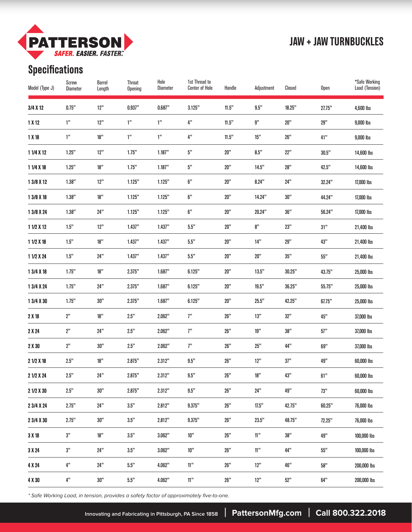

#### **JAW + JAW TURNBUCKLES**

# **Specifications**

| Model (Type J) | Screw<br>Diameter | <b>Barrel</b><br>Length | <b>Throat</b><br><b>Opening</b> | Hole<br><b>Diameter</b> | 1st Thread to<br><b>Center of Hole</b> | Handle          | Adjustment      | Closed | Open   | *Safe Working<br>Load (Tension) |
|----------------|-------------------|-------------------------|---------------------------------|-------------------------|----------------------------------------|-----------------|-----------------|--------|--------|---------------------------------|
| 3/4 X 12       | 0.75"             | 12"                     | 0.937"                          | 0.687"                  | 3.125"                                 | 11.5"           | 9.5"            | 18.25" | 27.75" | 4,600 lbs                       |
| 1 X 12         | 1"                | 12"                     | 1"                              | 1"                      | 4"                                     | 11.5"           | g"              | 20"    | 29"    | 9,000 lbs                       |
| 1X18           | 1"                | 18"                     | 1"                              | 1"                      | 4"                                     | 11.5"           | 15"             | 26"    | 41"    | 9,000 lbs                       |
| 1 1/4 X 12     | 1.25"             | 12"                     | 1.75"                           | 1.187"                  | 5"                                     | 20"             | 8.5"            | 22"    | 30.5"  | 14,600 lbs                      |
| 1 1/4 X 18     | 1.25"             | 18"                     | 1.75"                           | 1.187"                  | 5"                                     | 20"             | 14.5"           | 28"    | 42.5"  | 14,600 lbs                      |
| 1 3/8 X 12     | 1.38"             | 12"                     | 1.125"                          | 1.125"                  | 6"                                     | 20"             | 8.24"           | 24"    | 32.24" | 17,000 lbs                      |
| 1 3/8 X 18     | 1.38"             | 18"                     | 1.125"                          | 1.125"                  | 6"                                     | 20"             | 14.24"          | 30"    | 44.24" | 17,000 lbs                      |
| 1 3/8 X 24     | 1.38"             | 24"                     | 1.125"                          | 1.125"                  | 6"                                     | 20"             | 20.24"          | 36"    | 56.24" | 17,000 lbs                      |
| 1 1/2 X 12     | 1.5"              | 12"                     | 1.437"                          | 1.437"                  | $5.5"$                                 | 20"             | 8"              | 23"    | 31"    | 21,400 lbs                      |
| 1 1/2 X 18     | $1.5"$            | 18"                     | 1.437"                          | 1.437"                  | 5.5"                                   | 20"             | 14"             | 29"    | 43"    | 21,400 lbs                      |
| 1 1/2 X 24     | $1.5"$            | 24"                     | 1.437"                          | 1.437"                  | 5.5"                                   | 20"             | 20"             | 35"    | 55"    | 21,400 lbs                      |
| 1 3/4 X 18     | 1.75"             | 18"                     | 2.375"                          | 1.687"                  | 6.125"                                 | 20"             | 13.5"           | 30.25" | 43.75" | 25,000 lbs                      |
| 1 3/4 X 24     | 1.75"             | 24"                     | 2.375"                          | 1.687"                  | 6.125"                                 | 20"             | 19.5"           | 36.25" | 55.75" | 25,000 lbs                      |
| 1 3/4 X 30     | 1.75"             | 30"                     | 2.375"                          | 1.687"                  | 6.125"                                 | 20"             | 25.5"           | 42.25" | 67.75" | 25,000 lbs                      |
| 2 X 18         | 2"                | 18"                     | 2.5"                            | 2.062"                  | 7"                                     | 26"             | 13"             | 32"    | 45"    | 37,000 lbs                      |
| 2 X 24         | 2"                | 24"                     | 2.5"                            | 2.062"                  | 7"                                     | 26"             | 19"             | 38"    | 57"    | 37,000 lbs                      |
| 2 X 30         | 2"                | 30"                     | 2.5"                            | 2.062"                  | 7"                                     | 26"             | 25"             | 44"    | 69"    | 37,000 lbs                      |
| 2 1/2 X 18     | 2.5"              | 18"                     | 2.875"                          | 2.312"                  | 9.5"                                   | 26"             | 12"             | 37"    | 49"    | 60,000 lbs                      |
| 2 1/2 X 24     | 2.5"              | 24"                     | 2.875"                          | 2.312"                  | 9.5"                                   | 26"             | 18"             | 43"    | 61"    | 60,000 lbs                      |
| 2 1/2 X 30     | 2.5"              | 30"                     | 2.875"                          | 2.312"                  | $9.5"$                                 | 26"             | 24"             | 49"    | 73"    | 60,000 lbs                      |
| 2 3/4 X 24     | 2.75"             | 24"                     | $3.5"$                          | 2.812"                  | 9.375"                                 | $26\mathrm{''}$ | 17.5"           | 42.75" | 60.25" | 76,000 lbs                      |
| 2 3/4 X 30     | 2.75"             | 30"                     | $3.5"$                          | 2.812"                  | 9.375"                                 | 26"             | 23.5"           | 48.75" | 72.25" | 76,000 lbs                      |
| 3X18           | $3\mathrm{''}$    | $18"$                   | $3.5"$                          | 3.062"                  | $10"$                                  | 26"             | $11\mathrm{''}$ | 38"    | 49"    | 100,000 lbs                     |
| 3 X 24         | $3\mathrm{''}$    | 24"                     | $3.5"$                          | 3.062"                  | $10"$                                  | 26"             | $11\mathrm{''}$ | 44"    | 55"    | 100,000 lbs                     |
| 4 X 24         | $4"$              | 24"                     | $5.5^{\prime\prime}$            | 4.062"                  | $11^{\prime\prime}$                    | 26"             | 12"             | 46"    | 58"    | 200,000 lbs                     |
| 4 X 30         | $4\mathrm{''}$    | 30"                     | $5.5^{\prime\prime}$            | 4.062"                  | $11^{\prime\prime}$                    | 26"             | 12"             | 52"    | 64"    | 200,000 lbs                     |

\* Safe Working Load, in tension, provides a safety factor of approximately five-to-one.